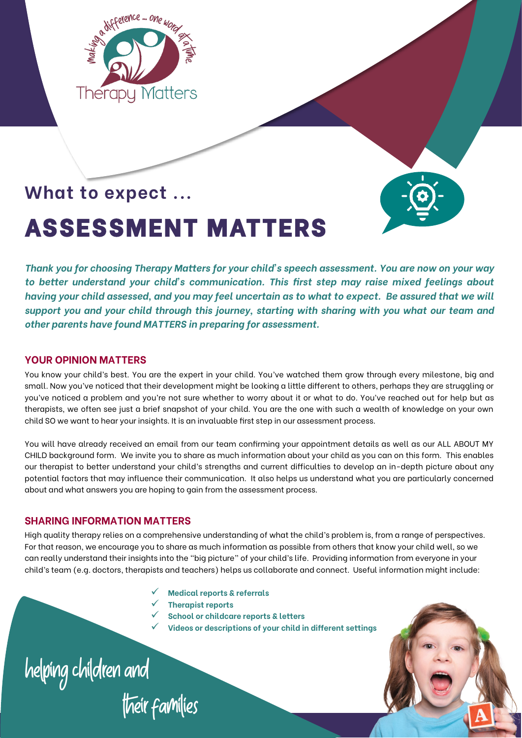

# **What to expect ...**

# **ASSESSMENT MATTERS**

*Thank you for choosing Therapy Matters for your child's speech assessment. You are now on your way to better understand your child's communication. This first step may raise mixed feelings about having your child assessed, and you may feel uncertain as to what to expect. Be assured that we will support you and your child through this journey, starting with sharing with you what our team and other parents have found MATTERS in preparing for assessment.* 

#### **YOUR OPINION MATTERS**

You know your child's best. You are the expert in your child. You've watched them grow through every milestone, big and small. Now you've noticed that their development might be looking a little different to others, perhaps they are struggling or you've noticed a problem and you're not sure whether to worry about it or what to do. You've reached out for help but as therapists, we often see just a brief snapshot of your child. You are the one with such a wealth of knowledge on your own child SO we want to hear your insights. It is an invaluable first step in our assessment process.

You will have already received an email from our team confirming your appointment details as well as our ALL ABOUT MY CHILD background form. We invite you to share as much information about your child as you can on this form. This enables our therapist to better understand your child's strengths and current difficulties to develop an in-depth picture about any potential factors that may influence their communication. It also helps us understand what you are particularly concerned about and what answers you are hoping to gain from the assessment process.

#### **SHARING INFORMATION MATTERS**

High quality therapy relies on a comprehensive understanding of what the child's problem is, from a range of perspectives. For that reason, we encourage you to share as much information as possible from others that know your child well, so we can really understand their insights into the "big picture" of your child's life. Providing information from everyone in your child's team (e.g. doctors, therapists and teachers) helps us collaborate and connect. Useful information might include:

- ✓ **Medical reports & referrals**
- ✓ **Therapist reports**
- ✓ **School or childcare reports & letters**
- ✓ **Videos or descriptions of your child in different settings**

helping children and<br>their families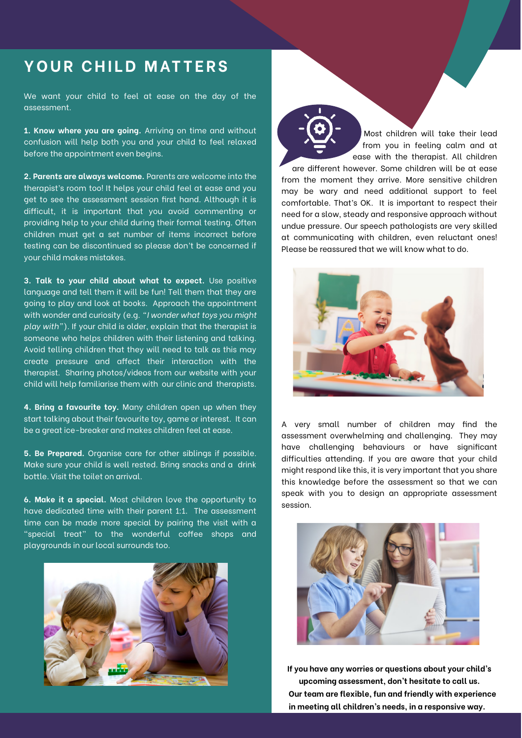#### YOUR CHILD MATTERS

We want your child to feel at ease on the day of the assessment.

**1. Know where you are going.** Arriving on time and without confusion will help both you and your child to feel relaxed before the appointment even begins.

**2. Parents are always welcome.** Parents are welcome into the therapist's room too! It helps your child feel at ease and you get to see the assessment session first hand. Although it is difficult, it is important that you avoid commenting or providing help to your child during their formal testing. Often children must get a set number of items incorrect before testing can be discontinued so please don't be concerned if your child makes mistakes.

**3. Talk to your child about what to expect.** Use positive language and tell them it will be fun! Tell them that they are going to play and look at books. Approach the appointment with wonder and curiosity (e.g. *"I wonder what toys you might play with"*). If your child is older, explain that the therapist is someone who helps children with their listening and talking. Avoid telling children that they will need to talk as this may create pressure and affect their interaction with the therapist. Sharing photos/videos from our website with your child will help familiarise them with our clinic and therapists.

**4. Bring a favourite toy.** Many children open up when they start talking about their favourite toy, game or interest. It can be a great ice-breaker and makes children feel at ease.

**5. Be Prepared.** Organise care for other siblings if possible. Make sure your child is well rested. Bring snacks and a drink bottle. Visit the toilet on arrival.

**6. Make it a special.** Most children love the opportunity to have dedicated time with their parent 1:1. The assessment time can be made more special by pairing the visit with a "special treat" to the wonderful coffee shops and playgrounds in our local surrounds too.



Most children will take their lead from you in feeling calm and at ease with the therapist. All children are different however. Some children will be at ease from the moment they arrive. More sensitive children may be wary and need additional support to feel comfortable. That's OK. It is important to respect their need for a slow, steady and responsive approach without undue pressure. Our speech pathologists are very skilled at communicating with children, even reluctant ones! Please be reassured that we will know what to do.



A very small number of children may find the assessment overwhelming and challenging. They may have challenging behaviours or have significant difficulties attending. If you are aware that your child might respond like this, it is very important that you share this knowledge before the assessment so that we can speak with you to design an appropriate assessment session.



**If you have any worries or questions about your child's upcoming assessment, don't hesitate to call us. Our team are flexible, fun and friendly with experience in meeting all children's needs, in a responsive way.**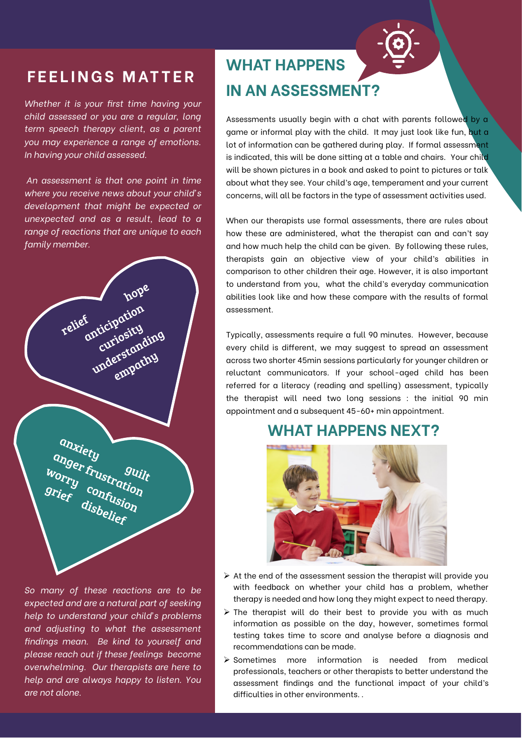## **F E E L I N G S M AT T E R**

*Whether it is your first time having your child assessed or you are a regular, long term speech therapy client, as a parent you may experience a range of emotions. In having your child assessed.*

*An assessment is that one point in time where you receive news about your child's development that might be expected or unexpected and as a result, lead to a range of reactions that are unique to each family member.* 

|                 | hope                                                  |  |
|-----------------|-------------------------------------------------------|--|
| relief          | anticipation<br>curiosity<br>understanding<br>empathy |  |
| anxiety         |                                                       |  |
| Worry confusion | anger frustration<br>guilt                            |  |
|                 |                                                       |  |

*So many of these reactions are to be expected and are a natural part of seeking help to understand your child's problems and adjusting to what the assessment findings mean. Be kind to yourself and please reach out if these feelings become overwhelming. Our therapists are here to help and are always happy to listen. You are not alone.* 

## **WHAT HAPPENS IN AN ASSESSMENT?**

Assessments usually begin with a chat with parents followed by a aame or informal play with the child. It may just look like fun, but a lot of information can be gathered during play. If formal assessment is indicated, this will be done sitting at a table and chairs. Your child will be shown pictures in a book and asked to point to pictures or talk about what they see. Your child's age, temperament and your current concerns, will all be factors in the type of assessment activities used.

When our therapists use formal assessments, there are rules about how these are administered, what the therapist can and can't say and how much help the child can be given. By following these rules, therapists gain an objective view of your child's abilities in comparison to other children their age. However, it is also important to understand from you, what the child's everyday communication abilities look like and how these compare with the results of formal assessment.

Typically, assessments require a full 90 minutes. However, because every child is different, we may suggest to spread an assessment across two shorter 45min sessions particularly for younger children or reluctant communicators. If your school-aged child has been referred for a literacy (reading and spelling) assessment, typically the therapist will need two long sessions : the initial 90 min appointment and a subsequent 45-60+ min appointment.

### **WHAT HAPPENS NEXT?**



- $\triangleright$  At the end of the assessment session the therapist will provide you with feedback on whether your child has a problem, whether therapy is needed and how long they might expect to need therapy.
- ➢ The therapist will do their best to provide you with as much information as possible on the day, however, sometimes formal testing takes time to score and analyse before a diagnosis and recommendations can be made.
- ➢ Sometimes more information is needed from medical professionals, teachers or other therapists to better understand the assessment findings and the functional impact of your child's difficulties in other environments. .